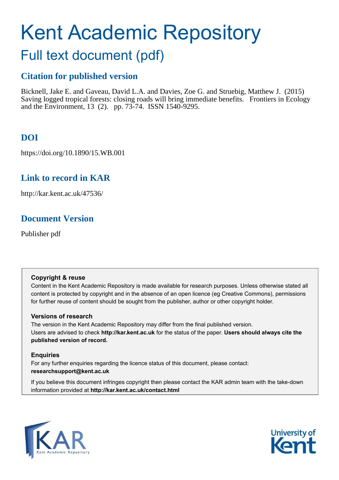# Kent Academic Repository

## Full text document (pdf)

## **Citation for published version**

Bicknell, Jake E. and Gaveau, David L.A. and Davies, Zoe G. and Struebig, Matthew J. (2015) Saving logged tropical forests: closing roads will bring immediate benefits. Frontiers in Ecology and the Environment, 13 (2). pp. 73-74. ISSN 1540-9295.

## **DOI**

https://doi.org/10.1890/15.WB.001

## **Link to record in KAR**

http://kar.kent.ac.uk/47536/

## **Document Version**

Publisher pdf

#### **Copyright & reuse**

Content in the Kent Academic Repository is made available for research purposes. Unless otherwise stated all content is protected by copyright and in the absence of an open licence (eg Creative Commons), permissions for further reuse of content should be sought from the publisher, author or other copyright holder.

#### **Versions of research**

The version in the Kent Academic Repository may differ from the final published version. Users are advised to check **http://kar.kent.ac.uk** for the status of the paper. **Users should always cite the published version of record.**

#### **Enquiries**

For any further enquiries regarding the licence status of this document, please contact: **researchsupport@kent.ac.uk**

If you believe this document infringes copyright then please contact the KAR admin team with the take-down information provided at **http://kar.kent.ac.uk/contact.html**



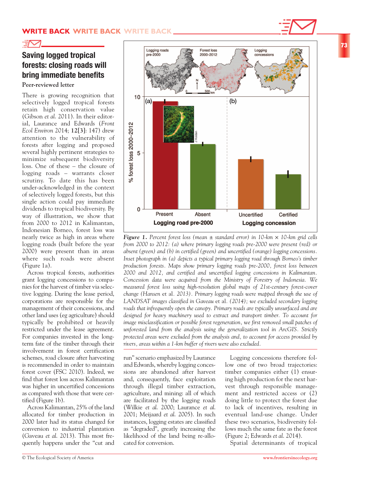

## **Saving logged tropical forests: closing roads will bring immediate benefits**

**Peer-reviewed letter**

There is growing recognition that selectively logged tropical forests retain high conservation value (Gibson *et al*. 2011). In their editorial, Laurance and Edwards (*Front Ecol Environ* 2014; **12[3]**: 147) drew attention to the vulnerability of forests after logging and proposed several highly pertinent strategies to minimize subsequent biodiversity loss. One of these – the closure of logging roads – warrants closer scrutiny. To date this has been under-acknowledged in the context of selectively logged forests, but this single action could pay immediate dividends to tropical biodiversity. By way of illustration, we show that from 2000 to 2012 in Kalimantan, Indonesian Borneo, forest loss was nearly twice as high in areas where logging roads (built before the year 2000) were present than in areas where such roads were absent (Figure 1a).

Across tropical forests, authorities grant logging concessions to companies for the harvest of timber via selective logging. During the lease period, corporations are responsible for the management of their concessions, and other land uses (eg agriculture) should typically be prohibited or heavily restricted under the lease agreement. For companies invested in the longterm fate of the timber through their involvement in forest certification schemes, road closure after harvesting is recommended in order to maintain forest cover (FSC 2010). Indeed, we find that forest loss across Kalimantan was higher in uncertified concessions as compared with those that were certified (Figure 1b).

Across Kalimantan, 25% of the land allocated for timber production in 2000 later had its status changed for conversion to industrial plantation (Gaveau *et al*. 2013). This most frequently happens under the "cut and



*Figure 1. Percent forest loss (mean*  $\pm$  *standard error) in 10-km*  $\times$  *10-km grid cells from 2000 to 2012: (a) where primary logging roads pre-2000 were present (red) or absent (green) and (b) in certified (green) and uncertified (orange) logging concessions. Inset photograph in (a) depicts a typical primary logging road through Borneo's timber production forests. Maps show primary logging roads pre-2000, forest loss between 2000 and 2012, and certified and uncertified logging concessions in Kalimantan. Concession data were acquired from the Ministry of Forestry of Indonesia. We measured forest loss using high-resolution global maps of 21st-century forest-cover change (Hansen* et al*. 2013). Primary logging roads were mapped through the use of LANDSAT images classified in Gaveau* et al*. (2014); we excluded secondary logging roads that infrequently open the canopy. Primary roads are typically unsurfaced and are designed for heavy machinery used to extract and transport timber. To account for image misclassification or possible forest regeneration, we first removed small patches of unforested land from the analysis using the generalization tool in ArcGIS. Strictly protected areas were excluded from the analysis and, to account for access provided by* **10**<br> *rigging 1. Present Absent Longting road pre-2000 <i>Longting rigging road pre-2000 Longting rigging road pre-2000* **<b>***Longting rigging road pre-2000 Longting road pre-2000 Com 2000 to 2012: (a)* 

run" scenario emphasized by Laurance and Edwards, whereby logging concessions are abandoned after harvest and, consequently, face exploitation through illegal timber extraction, agriculture, and mining: all of which are facilitated by the logging roads (Wilkie *et al*. 2000; Laurance *et al*. 2001; Meijaard *et al*. 2005). In such instances, logging estates are classified as "degraded", greatly increasing the likelihood of the land being re-allocated for conversion.

Logging concessions therefore follow one of two broad trajectories: timber companies either (1) ensuring high production for the next harvest through responsible management and restricted access or (2) doing little to protect the forest due to lack of incentives, resulting in eventual land-use change. Under these two scenarios, biodiversity follows much the same fate as the forest (Figure 2; Edwards *et al*. 2014).

Spatial determinants of tropical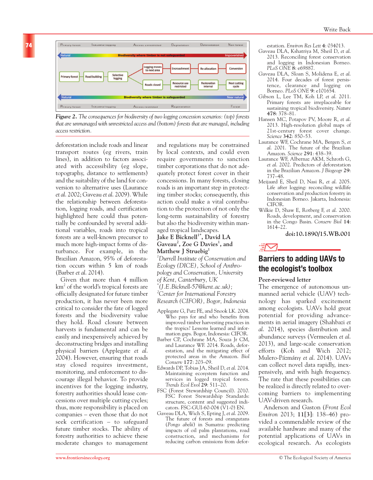

*Figure 2. The consequences for biodiversity of two logging concession scenarios: (top) forests that are unmanaged with unrestricted access and (bottom) forests that are managed, including access restriction.*

deforestation include roads and linear transport routes (eg rivers, train lines), in addition to factors associated with accessibility (eg slope, topography, distance to settlements) and the suitability of the land for conversion to alternative uses (Laurance *et al*. 2002; Gaveau *et al*. 2009). While the relationship between deforestation, logging roads, and certification highlighted here could thus potentially be confounded by several additional variables, roads into tropical forests are a well-known precursor to much more high-impact forms of disturbance. For example, in the Brazilian Amazon, 95% of deforestation occurs within 5 km of roads (Barber *et al*. 2014).

Given that more than 4 million  $\mathrm{km}^2$  of the world's tropical forests are officially designated for future timber production, it has never been more critical to consider the fate of logged forests and the biodiversity value they hold. Road closure between harvests is fundamental and can be easily and inexpensively achieved by deconstructing bridges and installing physical barriers (Applegate *et al*. 2004). However, ensuring that roads stay closed requires investment, monitoring, and enforcement to discourage illegal behavior. To provide incentives for the logging industry, forestry authorities should lease concessions over multiple cutting cycles; thus, more responsibility is placed on companies – even those that do not seek certification – to safeguard future timber stocks. The ability of forestry authorities to achieve these moderate changes to management

and regulations may be constrained by local contexts, and could even require governments to sanction timber corporations that do not adequately protect forest cover in their concessions. In many forests, closing roads is an important step in protecting timber stocks; consequently, this action could make a vital contribution to the protection of not only the long-term sustainability of forestry but also the biodiversity within managed tropical landscapes.

#### **Jake E Bicknell1\*, David LA Gaveau<sup>2</sup> , Zoe G Davies<sup>1</sup> , and Matthew J Struebig<sup>1</sup>**

*<sup>1</sup>Durrell Institute of Conservation and Ecology (DICE), School of Anthropology and Conservation, University of Kent, Canterbury, UK*

*\* (J.E.Bicknell-57@kent.ac.uk); <sup>2</sup>Center for International Forestry Research (CIFOR), Bogor, Indonesia*

- Applegate G, Putz FE, and Snook LK. 2004. Who pays for and who benefits from improved timber harvesting practices in the tropics? Lessons learned and information gaps. Bogor, Indonesia: CIFOR.
- Barber CP, Cochrane MA, Souza Jr CM, and Laurance WF. 2014. Roads, deforestation, and the mitigating effect of protected areas in the Amazon. *Biol Conserv* **177**: 203–09.
- Edwards DP, Tobias JA, Sheil D, *et al*. 2014. Maintaining ecosystem function and services in logged tropical forests. *Trends Ecol Evol* **29**: 511–20.
- FSC (Forest Stewardship Council). 2010. FSC Forest Stewardship Standards: structure, content and suggested indicators. FSC-GUI-60-004 (V1-0) EN.
- Gaveau DLA, Wich S, Epting J, *et al*. 2009. The future of forests and orangutans (*Pongo abelii*) in Sumatra: predicting impacts of oil palm plantations, road construction, and mechanisms for reducing carbon emissions from defor-

estation. *Environ Res Lett* **4**: 034013.

- Gaveau DLA, Kshatriya M, Sheil D, *et al*. 2013. Reconciling forest conservation and logging in Indonesian Borneo. *PLoS ONE* **8**: e69887.
- Gaveau DLA, Sloan S, Molidena E, *et al*. 2014. Four decades of forest persistence, clearance and logging on Borneo. *PLoS ONE* **9**: e101654.
- Gibson L, Lee TM, Koh LP, *et al*. 2011. Primary forests are irreplaceable for sustaining tropical biodiversity. *Nature* **478**: 378–81.
- Hansen MC, Potapov PV, Moore R, *et al*. 2013. High-resolution global maps of 21st-century forest cover change. *Science* **342**: 850–53.
- Laurance WF, Cochrane MA, Bergen S, *et al*. 2001. The future of the Brazilian Amazon. *Science* **291**: 438–39.
- Laurance WF, Albernaz AKM, Schroth G, *et al*. 2002. Predictors of deforestation in the Brazilian Amazon. *J Biogeogr* **29**: 737–48.
- Meijaard E, Sheil D, Nasi R, *et al*. 2005. Life after logging: reconciling wildlife conservation and production forestry in Indonesian Borneo. Jakarta, Indonesia: CIFOR.
- Wilkie D, Shaw E, Rotberg F, *et al*. 2000. Roads, development, and conservation in the Congo Basin. *Conserv Biol* **14**: 1614–22.

**doi:10.1890/15.WB.001**



### **Barriers to adding UAVs to the ecologist's toolbox**

#### **Peer-reviewed letter**

The emergence of autonomous unmanned aerial vehicle (UAV) technology has sparked excitement among ecologists. UAVs hold great potential for providing advancements in aerial imagery (Shahbazi *et al*. 2014), species distribution and abundance surveys (Vermeulen *et al*. 2013), and large-scale conservation efforts (Koh and Wich 2012; Mulero-Pázmány *et al*. 2014). UAVs can collect novel data rapidly, inexpensively, and with high frequency. The rate that these possibilities can be realized is directly related to overcoming barriers to implementing UAV-driven research.

Anderson and Gaston (*Front Ecol Environ* 2013; **11[3]**: 138–46) provided a commendable review of the available hardware and many of the potential applications of UAVs in ecological research. As ecologists